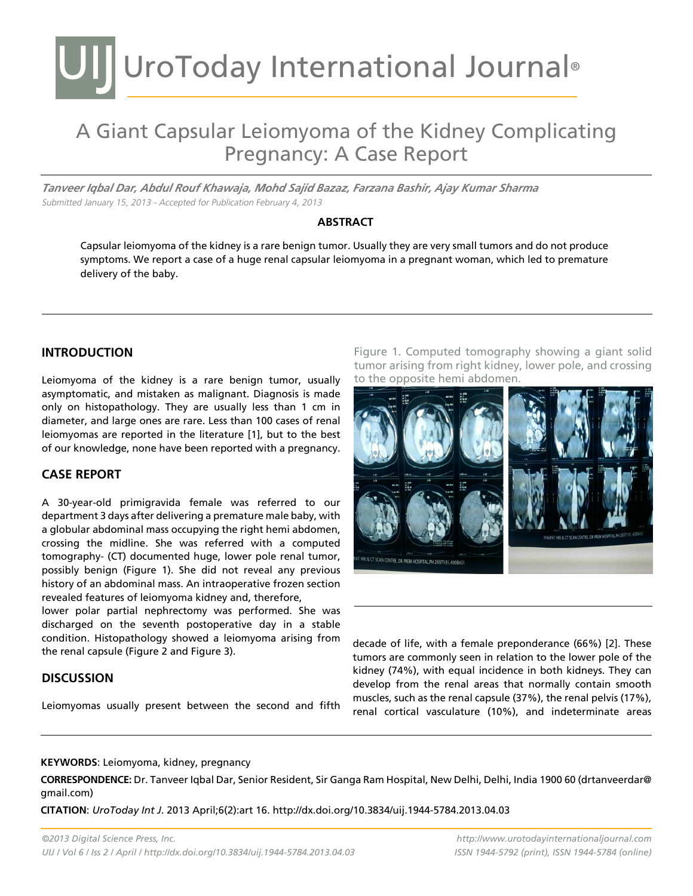# UIJ UroToday International Journal®

# A Giant Capsular Leiomyoma of the Kidney Complicating Pregnancy: A Case Report

*Tanveer Iqbal Dar, Abdul Rouf Khawaja, Mohd Sajid Bazaz, Farzana Bashir, Ajay Kumar Sharma* Submitted January 15, 2013 - Accepted for Publication February 4, 2013

#### **Abstract**

Capsular leiomyoma of the kidney is a rare benign tumor. Usually they are very small tumors and do not produce symptoms. We report a case of a huge renal capsular leiomyoma in a pregnant woman, which led to premature delivery of the baby.

### **INTRODUCTION**

Leiomyoma of the kidney is a rare benign tumor, usually asymptomatic, and mistaken as malignant. Diagnosis is made only on histopathology. They are usually less than 1 cm in diameter, and large ones are rare. Less than 100 cases of renal leiomyomas are reported in the literature [1], but to the best of our knowledge, none have been reported with a pregnancy.

#### **Case report**

A 30-year-old primigravida female was referred to our department 3 days after delivering a premature male baby, with a globular abdominal mass occupying the right hemi abdomen, crossing the midline. She was referred with a computed tomography- (CT) documented huge, lower pole renal tumor, possibly benign (Figure 1). She did not reveal any previous history of an abdominal mass. An intraoperative frozen section revealed features of leiomyoma kidney and, therefore,

lower polar partial nephrectomy was performed. She was discharged on the seventh postoperative day in a stable condition. Histopathology showed a leiomyoma arising from the renal capsule (Figure 2 and Figure 3).

#### **Discussion**

Leiomyomas usually present between the second and fifth

Figure 1. Computed tomography showing a giant solid tumor arising from right kidney, lower pole, and crossing to the opposite hemi abdomen.



decade of life, with a female preponderance (66%) [2]. These tumors are commonly seen in relation to the lower pole of the kidney (74%), with equal incidence in both kidneys. They can develop from the renal areas that normally contain smooth muscles, such as the renal capsule (37%), the renal pelvis (17%), renal cortical vasculature (10%), and indeterminate areas

#### **KEYWORDS**: Leiomyoma, kidney, pregnancy

**CORRESPONDENCE:** Dr. Tanveer Iqbal Dar, Senior Resident, Sir Ganga Ram Hospital, New Delhi, Delhi, India 1900 60 (drtanveerdar@ gmail.com)

**CITATION**: *UroToday Int J*. 2013 April;6(2):art 16. http://dx.doi.org/10.3834/uij.1944-5784.2013.04.03